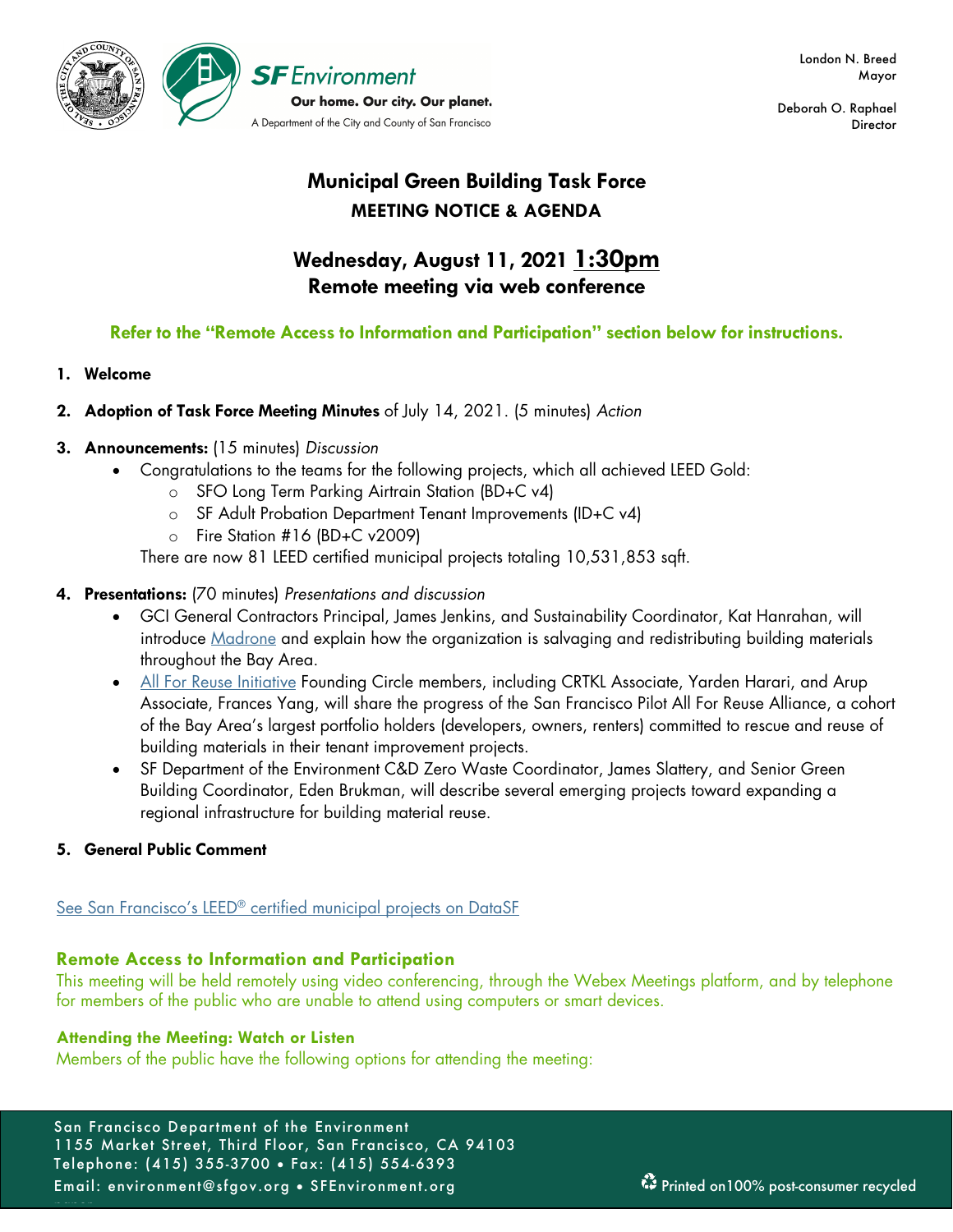

Deborah O. Raphael **Director** 

# **Municipal Green Building Task Force MEETING NOTICE & AGENDA**

# **Wednesday, August 11, 2021 1:30pm Remote meeting via web conference**

# **Refer to the "Remote Access to Information and Participation" section below for instructions.**

# **1. Welcome**

# **2. Adoption of Task Force Meeting Minutes** of July 14, 2021. (5 minutes) *Action*

# **3. Announcements:** (15 minutes) *Discussion*

- Congratulations to the teams for the following projects, which all achieved LEED Gold:
	- o SFO Long Term Parking Airtrain Station (BD+C v4)
	- o SF Adult Probation Department Tenant Improvements (ID+C v4)
	- o Fire Station #16 (BD+C v2009)

There are now 81 LEED certified municipal projects totaling 10,531,853 sqft.

# **4. Presentations:** (70 minutes) *Presentations and discussion*

- GCI General Contractors Principal, James Jenkins, and Sustainability Coordinator, Kat Hanrahan, will introduce Madrone and explain how the organization is salvaging and redistributing building materials throughout the Bay Area.
- All For Reuse Initiative Founding Circle members, including CRTKL Associate, Yarden Harari, and Arup Associate, Frances Yang, will share the progress of the San Francisco Pilot All For Reuse Alliance, a cohort of the Bay Area's largest portfolio holders (developers, owners, renters) committed to rescue and reuse of building materials in their tenant improvement projects.
- SF Department of the Environment C&D Zero Waste Coordinator, James Slattery, and Senior Green Building Coordinator, Eden Brukman, will describe several emerging projects toward expanding a regional infrastructure for building material reuse.

# **5. General Public Comment**

paper.

# See San Francisco's LEED® certified municipal projects on DataSF

# **Remote Access to Information and Participation**

This meeting will be held remotely using video conferencing, through the Webex Meetings platform, and by telephone for members of the public who are unable to attend using computers or smart devices.

# **Attending the Meeting: Watch or Listen**

Members of the public have the following options for attending the meeting: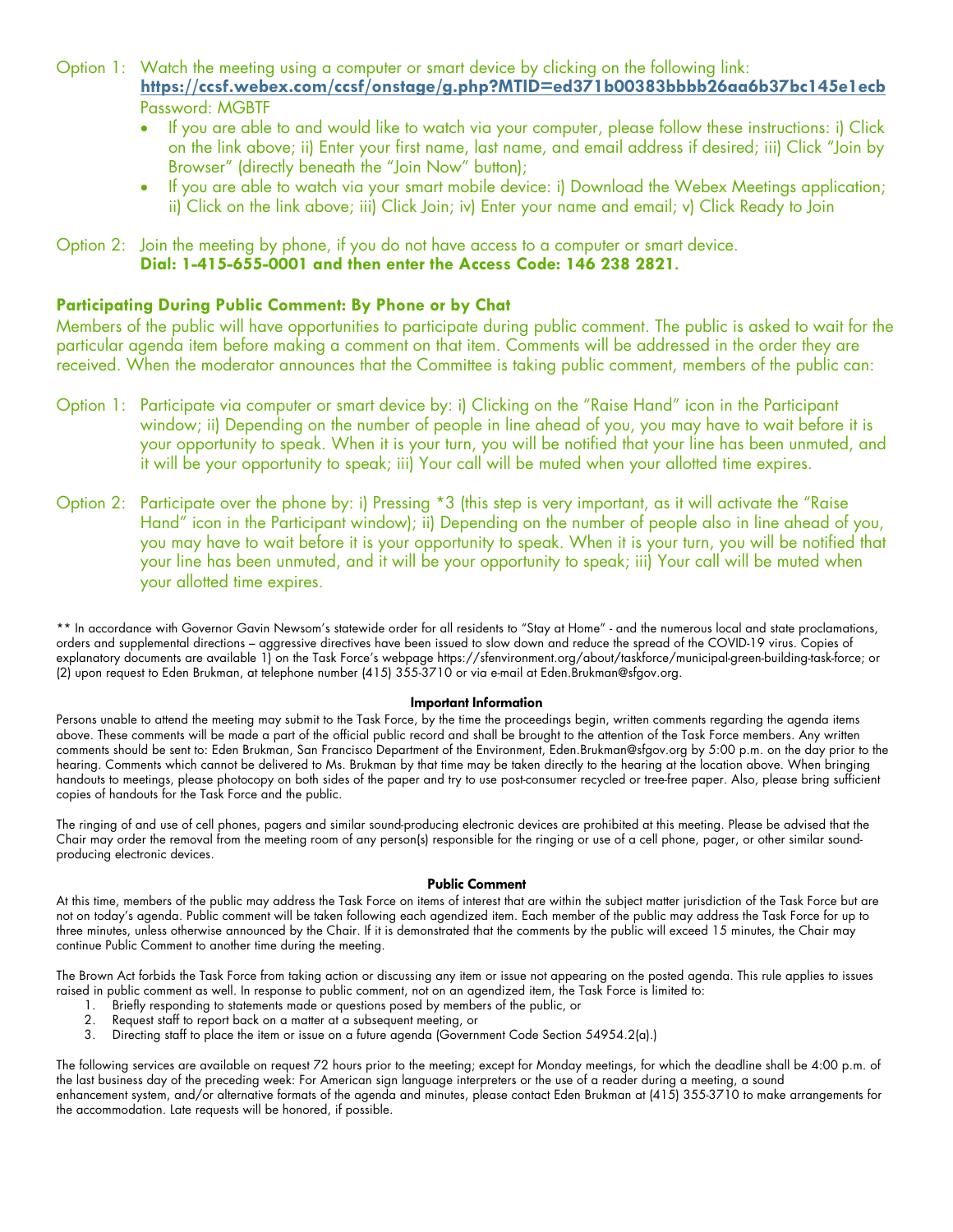- Option 1: Watch the meeting using a computer or smart device by clicking on the following link: **https://ccsf.webex.com/ccsf/onstage/g.php?MTID=ed371b00383bbbb26aa6b37bc145e1ecb** Password: MGBTF
	- If you are able to and would like to watch via your computer, please follow these instructions: i) Click on the link above; ii) Enter your first name, last name, and email address if desired; iii) Click "Join by Browser" (directly beneath the "Join Now" button);
	- If you are able to watch via your smart mobile device: i) Download the Webex Meetings application; ii) Click on the link above; iii) Click Join; iv) Enter your name and email; v) Click Ready to Join

### Option 2: Join the meeting by phone, if you do not have access to a computer or smart device. **Dial: 1-415-655-0001 and then enter the Access Code: 146 238 2821**.

### **Participating During Public Comment: By Phone or by Chat**

Members of the public will have opportunities to participate during public comment. The public is asked to wait for the particular agenda item before making a comment on that item. Comments will be addressed in the order they are received. When the moderator announces that the Committee is taking public comment, members of the public can:

- Option 1: Participate via computer or smart device by: i) Clicking on the "Raise Hand" icon in the Participant window; ii) Depending on the number of people in line ahead of you, you may have to wait before it is your opportunity to speak. When it is your turn, you will be notified that your line has been unmuted, and it will be your opportunity to speak; iii) Your call will be muted when your allotted time expires.
- Option 2: Participate over the phone by: i) Pressing \*3 (this step is very important, as it will activate the "Raise Hand" icon in the Participant window); ii) Depending on the number of people also in line ahead of you, you may have to wait before it is your opportunity to speak. When it is your turn, you will be notified that your line has been unmuted, and it will be your opportunity to speak; iii) Your call will be muted when your allotted time expires.

\*\* In accordance with Governor Gavin Newsom's statewide order for all residents to "Stay at Home" - and the numerous local and state proclamations, orders and supplemental directions – aggressive directives have been issued to slow down and reduce the spread of the COVID-19 virus. Copies of explanatory documents are available 1) on the Task Force's webpage https://sfenvironment.org/about/taskforce/municipal-green-building-task-force; or (2) upon request to Eden Brukman, at telephone number (415) 355-3710 or via e-mail at Eden.Brukman@sfgov.org.

### **Important Information**

Persons unable to attend the meeting may submit to the Task Force, by the time the proceedings begin, written comments regarding the agenda items above. These comments will be made a part of the official public record and shall be brought to the attention of the Task Force members. Any written comments should be sent to: Eden Brukman, San Francisco Department of the Environment, Eden.Brukman@sfgov.org by 5:00 p.m. on the day prior to the hearing. Comments which cannot be delivered to Ms. Brukman by that time may be taken directly to the hearing at the location above. When bringing handouts to meetings, please photocopy on both sides of the paper and try to use post-consumer recycled or tree-free paper. Also, please bring sufficient copies of handouts for the Task Force and the public.

The ringing of and use of cell phones, pagers and similar sound-producing electronic devices are prohibited at this meeting. Please be advised that the Chair may order the removal from the meeting room of any person(s) responsible for the ringing or use of a cell phone, pager, or other similar soundproducing electronic devices.

### **Public Comment**

At this time, members of the public may address the Task Force on items of interest that are within the subject matter jurisdiction of the Task Force but are not on today's agenda. Public comment will be taken following each agendized item. Each member of the public may address the Task Force for up to three minutes, unless otherwise announced by the Chair. If it is demonstrated that the comments by the public will exceed 15 minutes, the Chair may continue Public Comment to another time during the meeting.

The Brown Act forbids the Task Force from taking action or discussing any item or issue not appearing on the posted agenda. This rule applies to issues raised in public comment as well. In response to public comment, not on an agendized item, the Task Force is limited to:

- 1. Briefly responding to statements made or questions posed by members of the public, or
- 2. Request staff to report back on a matter at a subsequent meeting, or
- 3. Directing staff to place the item or issue on a future agenda (Government Code Section 54954.2(a).)

The following services are available on request 72 hours prior to the meeting; except for Monday meetings, for which the deadline shall be 4:00 p.m. of the last business day of the preceding week: For American sign language interpreters or the use of a reader during a meeting, a sound enhancement system, and/or alternative formats of the agenda and minutes, please contact Eden Brukman at (415) 355-3710 to make arrangements for the accommodation. Late requests will be honored, if possible.